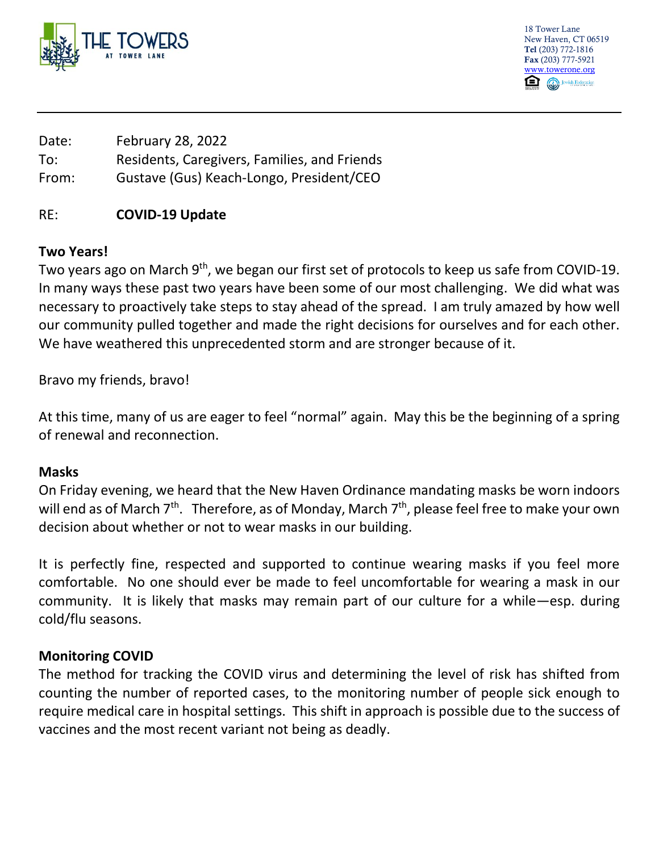

18 Tower Lane New Haven, CT 06519 Tel (203) 772-1816 Fax (203) 777-5921 [www.towerone.org](http://www.towerone.org/) Jewish Federation

Date: February 28, 2022 To: Residents, Caregivers, Families, and Friends From: Gustave (Gus) Keach-Longo, President/CEO

## RE: **COVID-19 Update**

## **Two Years!**

Two years ago on March 9<sup>th</sup>, we began our first set of protocols to keep us safe from COVID-19. In many ways these past two years have been some of our most challenging. We did what was necessary to proactively take steps to stay ahead of the spread. I am truly amazed by how well our community pulled together and made the right decisions for ourselves and for each other. We have weathered this unprecedented storm and are stronger because of it.

Bravo my friends, bravo!

At this time, many of us are eager to feel "normal" again. May this be the beginning of a spring of renewal and reconnection.

## **Masks**

On Friday evening, we heard that the New Haven Ordinance mandating masks be worn indoors will end as of March 7<sup>th</sup>. Therefore, as of Monday, March 7<sup>th</sup>, please feel free to make your own decision about whether or not to wear masks in our building.

It is perfectly fine, respected and supported to continue wearing masks if you feel more comfortable. No one should ever be made to feel uncomfortable for wearing a mask in our community. It is likely that masks may remain part of our culture for a while—esp. during cold/flu seasons.

## **Monitoring COVID**

The method for tracking the COVID virus and determining the level of risk has shifted from counting the number of reported cases, to the monitoring number of people sick enough to require medical care in hospital settings. This shift in approach is possible due to the success of vaccines and the most recent variant not being as deadly.